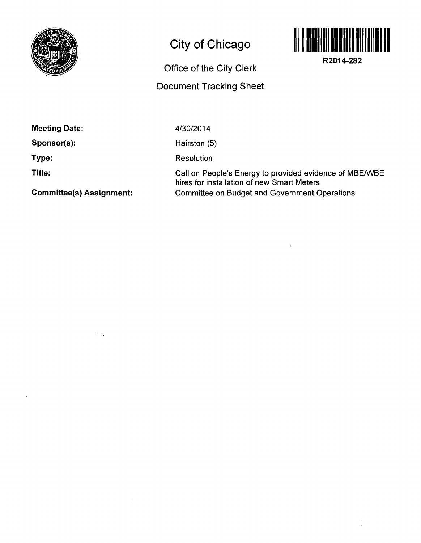

## **City of Chicago**



**R2014-282** 

Office of the City Clerk

## Document Tracking Sheet

Meeting Date:

Sponsor(s):

Type:

Title:

4/30/2014

Hairston (5)

Resolution

Call on People's Energy to provided evidence of MBE/WBE hires for installation of new Smart Meters Committee on Budget and Government Operations

Committee(s) Assignment: